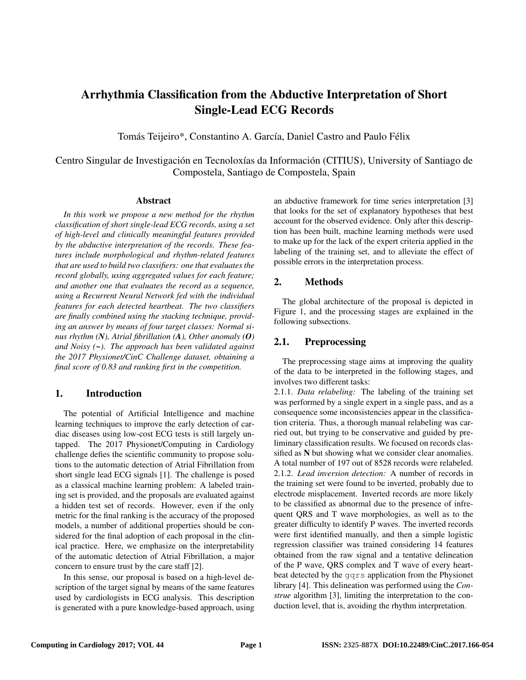# Arrhythmia Classification from the Abductive Interpretation of Short Single-Lead ECG Records

Tomás Teijeiro\*, Constantino A. García, Daniel Castro and Paulo Félix

Centro Singular de Investigación en Tecnoloxías da Información (CITIUS), University of Santiago de Compostela, Santiago de Compostela, Spain

#### Abstract

*In this work we propose a new method for the rhythm classification of short single-lead ECG records, using a set of high-level and clinically meaningful features provided by the abductive interpretation of the records. These features include morphological and rhythm-related features that are used to build two classifiers: one that evaluates the record globally, using aggregated values for each feature; and another one that evaluates the record as a sequence, using a Recurrent Neural Network fed with the individual features for each detected heartbeat. The two classifiers are finally combined using the stacking technique, providing an answer by means of four target classes: Normal sinus rhythm (N), Atrial fibrillation (A), Other anomaly (O) and Noisy (~). The approach has been validated against the 2017 Physionet/CinC Challenge dataset, obtaining a final score of 0.83 and ranking first in the competition.*

# 1. Introduction

The potential of Artificial Intelligence and machine learning techniques to improve the early detection of cardiac diseases using low-cost ECG tests is still largely untapped. The 2017 Physionet/Computing in Cardiology challenge defies the scientific community to propose solutions to the automatic detection of Atrial Fibrillation from short single lead ECG signals [1]. The challenge is posed as a classical machine learning problem: A labeled training set is provided, and the proposals are evaluated against a hidden test set of records. However, even if the only metric for the final ranking is the accuracy of the proposed models, a number of additional properties should be considered for the final adoption of each proposal in the clinical practice. Here, we emphasize on the interpretability of the automatic detection of Atrial Fibrillation, a major concern to ensure trust by the care staff [2].

In this sense, our proposal is based on a high-level description of the target signal by means of the same features used by cardiologists in ECG analysis. This description is generated with a pure knowledge-based approach, using an abductive framework for time series interpretation [3] that looks for the set of explanatory hypotheses that best account for the observed evidence. Only after this description has been built, machine learning methods were used to make up for the lack of the expert criteria applied in the labeling of the training set, and to alleviate the effect of possible errors in the interpretation process.

#### 2. Methods

The global architecture of the proposal is depicted in Figure 1, and the processing stages are explained in the following subsections.

# 2.1. Preprocessing

The preprocessing stage aims at improving the quality of the data to be interpreted in the following stages, and involves two different tasks:

2.1.1. *Data relabeling:* The labeling of the training set was performed by a single expert in a single pass, and as a consequence some inconsistencies appear in the classification criteria. Thus, a thorough manual relabeling was carried out, but trying to be conservative and guided by preliminary classification results. We focused on records classified as N but showing what we consider clear anomalies. A total number of 197 out of 8528 records were relabeled. 2.1.2. *Lead inversion detection:* A number of records in the training set were found to be inverted, probably due to electrode misplacement. Inverted records are more likely to be classified as abnormal due to the presence of infrequent QRS and T wave morphologies, as well as to the greater difficulty to identify P waves. The inverted records were first identified manually, and then a simple logistic regression classifier was trained considering 14 features obtained from the raw signal and a tentative delineation of the P wave, QRS complex and T wave of every heartbeat detected by the gqrs application from the Physionet library [4]. This delineation was performed using the *Construe* algorithm [3], limiting the interpretation to the conduction level, that is, avoiding the rhythm interpretation.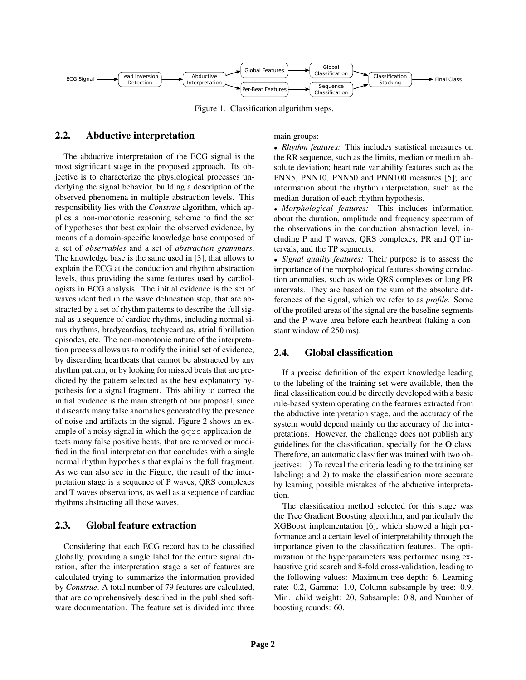

Figure 1. Classification algorithm steps.

#### 2.2. Abductive interpretation

The abductive interpretation of the ECG signal is the most significant stage in the proposed approach. Its objective is to characterize the physiological processes underlying the signal behavior, building a description of the observed phenomena in multiple abstraction levels. This responsibility lies with the *Construe* algorithm, which applies a non-monotonic reasoning scheme to find the set of hypotheses that best explain the observed evidence, by means of a domain-specific knowledge base composed of a set of *observables* and a set of *abstraction grammars*. The knowledge base is the same used in [3], that allows to explain the ECG at the conduction and rhythm abstraction levels, thus providing the same features used by cardiologists in ECG analysis. The initial evidence is the set of waves identified in the wave delineation step, that are abstracted by a set of rhythm patterns to describe the full signal as a sequence of cardiac rhythms, including normal sinus rhythms, bradycardias, tachycardias, atrial fibrillation episodes, etc. The non-monotonic nature of the interpretation process allows us to modify the initial set of evidence, by discarding heartbeats that cannot be abstracted by any rhythm pattern, or by looking for missed beats that are predicted by the pattern selected as the best explanatory hypothesis for a signal fragment. This ability to correct the initial evidence is the main strength of our proposal, since it discards many false anomalies generated by the presence of noise and artifacts in the signal. Figure 2 shows an example of a noisy signal in which the gqrs application detects many false positive beats, that are removed or modified in the final interpretation that concludes with a single normal rhythm hypothesis that explains the full fragment. As we can also see in the Figure, the result of the interpretation stage is a sequence of P waves, QRS complexes and T waves observations, as well as a sequence of cardiac rhythms abstracting all those waves.

# 2.3. Global feature extraction

Considering that each ECG record has to be classified globally, providing a single label for the entire signal duration, after the interpretation stage a set of features are calculated trying to summarize the information provided by *Construe*. A total number of 79 features are calculated, that are comprehensively described in the published software documentation. The feature set is divided into three main groups:

• *Rhythm features:* This includes statistical measures on the RR sequence, such as the limits, median or median absolute deviation; heart rate variability features such as the PNN5, PNN10, PNN50 and PNN100 measures [5]; and information about the rhythm interpretation, such as the median duration of each rhythm hypothesis.

• *Morphological features:* This includes information about the duration, amplitude and frequency spectrum of the observations in the conduction abstraction level, including P and T waves, QRS complexes, PR and QT intervals, and the TP segments.

• *Signal quality features:* Their purpose is to assess the importance of the morphological features showing conduction anomalies, such as wide QRS complexes or long PR intervals. They are based on the sum of the absolute differences of the signal, which we refer to as *profile*. Some of the profiled areas of the signal are the baseline segments and the P wave area before each heartbeat (taking a constant window of 250 ms).

# 2.4. Global classification

If a precise definition of the expert knowledge leading to the labeling of the training set were available, then the final classification could be directly developed with a basic rule-based system operating on the features extracted from the abductive interpretation stage, and the accuracy of the system would depend mainly on the accuracy of the interpretations. However, the challenge does not publish any guidelines for the classification, specially for the O class. Therefore, an automatic classifier was trained with two objectives: 1) To reveal the criteria leading to the training set labeling; and 2) to make the classification more accurate by learning possible mistakes of the abductive interpretation.

The classification method selected for this stage was the Tree Gradient Boosting algorithm, and particularly the XGBoost implementation [6], which showed a high performance and a certain level of interpretability through the importance given to the classification features. The optimization of the hyperparameters was performed using exhaustive grid search and 8-fold cross-validation, leading to the following values: Maximum tree depth: 6, Learning rate: 0.2, Gamma: 1.0, Column subsample by tree: 0.9, Min. child weight: 20, Subsample: 0.8, and Number of boosting rounds: 60.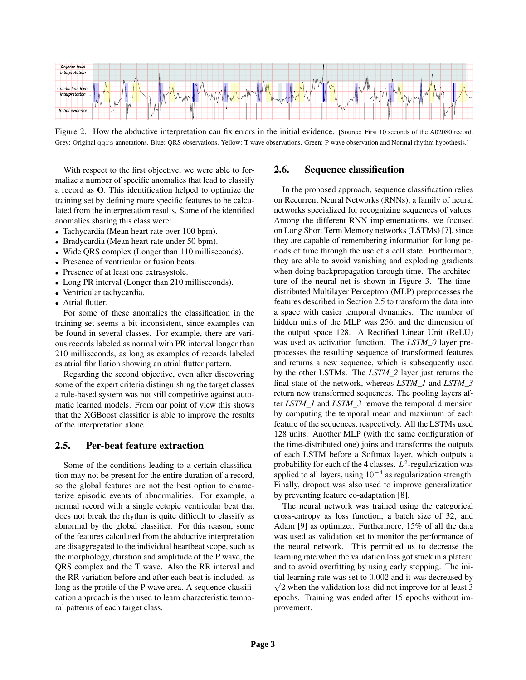

Figure 2. How the abductive interpretation can fix errors in the initial evidence. [Source: First 10 seconds of the A02080 record. Grey: Original gqrs annotations. Blue: QRS observations. Yellow: T wave observations. Green: P wave observation and Normal rhythm hypothesis.]

With respect to the first objective, we were able to formalize a number of specific anomalies that lead to classify a record as O. This identification helped to optimize the training set by defining more specific features to be calculated from the interpretation results. Some of the identified anomalies sharing this class were:

- Tachycardia (Mean heart rate over 100 bpm).
- Bradycardia (Mean heart rate under 50 bpm).
- Wide QRS complex (Longer than 110 milliseconds).
- Presence of ventricular or fusion beats.
- Presence of at least one extrasystole.
- Long PR interval (Longer than 210 milliseconds).
- Ventricular tachycardia.
- Atrial flutter.

For some of these anomalies the classification in the training set seems a bit inconsistent, since examples can be found in several classes. For example, there are various records labeled as normal with PR interval longer than 210 milliseconds, as long as examples of records labeled as atrial fibrillation showing an atrial flutter pattern.

Regarding the second objective, even after discovering some of the expert criteria distinguishing the target classes a rule-based system was not still competitive against automatic learned models. From our point of view this shows that the XGBoost classifier is able to improve the results of the interpretation alone.

#### 2.5. Per-beat feature extraction

Some of the conditions leading to a certain classification may not be present for the entire duration of a record, so the global features are not the best option to characterize episodic events of abnormalities. For example, a normal record with a single ectopic ventricular beat that does not break the rhythm is quite difficult to classify as abnormal by the global classifier. For this reason, some of the features calculated from the abductive interpretation are disaggregated to the individual heartbeat scope, such as the morphology, duration and amplitude of the P wave, the QRS complex and the T wave. Also the RR interval and the RR variation before and after each beat is included, as long as the profile of the P wave area. A sequence classification approach is then used to learn characteristic temporal patterns of each target class.

#### 2.6. Sequence classification

In the proposed approach, sequence classification relies on Recurrent Neural Networks (RNNs), a family of neural networks specialized for recognizing sequences of values. Among the different RNN implementations, we focused on Long Short Term Memory networks (LSTMs) [7], since they are capable of remembering information for long periods of time through the use of a cell state. Furthermore, they are able to avoid vanishing and exploding gradients when doing backpropagation through time. The architecture of the neural net is shown in Figure 3. The timedistributed Multilayer Perceptron (MLP) preprocesses the features described in Section 2.5 to transform the data into a space with easier temporal dynamics. The number of hidden units of the MLP was 256, and the dimension of the output space 128. A Rectified Linear Unit (ReLU) was used as activation function. The *LSTM\_0* layer preprocesses the resulting sequence of transformed features and returns a new sequence, which is subsequently used by the other LSTMs. The *LSTM\_2* layer just returns the final state of the network, whereas *LSTM\_1* and *LSTM\_3* return new transformed sequences. The pooling layers after *LSTM\_1* and *LSTM\_3* remove the temporal dimension by computing the temporal mean and maximum of each feature of the sequences, respectively. All the LSTMs used 128 units. Another MLP (with the same configuration of the time-distributed one) joins and transforms the outputs of each LSTM before a Softmax layer, which outputs a probability for each of the 4 classes.  $L^2$ -regularization was applied to all layers, using  $10^{-4}$  as regularization strength. Finally, dropout was also used to improve generalization by preventing feature co-adaptation [8].

The neural network was trained using the categorical cross-entropy as loss function, a batch size of 32, and Adam [9] as optimizer. Furthermore, 15% of all the data was used as validation set to monitor the performance of the neural network. This permitted us to decrease the learning rate when the validation loss got stuck in a plateau and to avoid overfitting by using early stopping. The initial learning rate was set to  $0.002$  and it was decreased by  $\sqrt{2}$  when the validation loss did not improve for at least 3 epochs. Training was ended after 15 epochs without improvement.